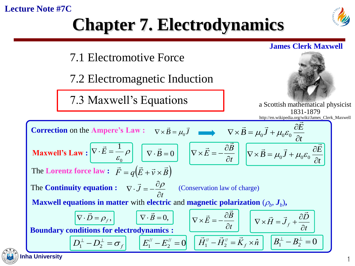#### **Lecture Note #7C**







7.2 Electromagnetic Induction

7.3 Maxwell's Equations



a Scottis[h mathematical phys](//upload.wikimedia.org/wikipedia/commons/5/57/James_Clerk_Maxwell.png)icist 1831-1879 http://en.wikipedia.org/wiki/James\_Clerk\_Maxwell



**James Clerk Maxwell**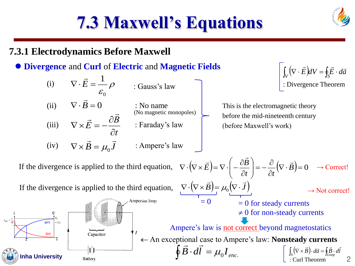### **7.3.1 Electrodynamics Before Maxwell**

(i)

#### **Divergence** and **Curl** of **Electric** and **Magnetic Fields**

 $\nabla\cdot\vec{E}=\frac{1}{\rho}\rho$  . Gauss's lay

: Gauss's law

#### *t B E*  $\widehat{O}$  $\partial$  $\nabla\!\times\!E=-$ →  $\vec{\epsilon}_0 = \frac{\rho}{\epsilon_0}$  : Gauss's law<br>  $\vec{\epsilon}_0 = 0$  : No name<br>
(No magnetic monopo  $\mathcal{E}_0$ (ii)  $\nabla \cdot \vec{B} = 0$  : No name (iii)  $\vec{B} = \mu_0 \vec{J}$  : Ampere's law (iv)  $\nabla \times \vec{B} = \mu_0 \vec{J}$  : Ampere's : No name : Faraday's law (No magnetic monopoles)

 $\int_V (\nabla \cdot \vec{E}) dV = \oint_S \vec{E} \cdot d\vec{a}$  : Divergence Theorem

This is the electromagnetic theory before the mid-nineteenth century (before Maxwell's work)

If the divergence is applied to the third equation, 
$$
\nabla \cdot (\nabla \times \vec{E}) = \nabla \cdot \left( -\frac{\partial \vec{B}}{\partial t} \right) = -\frac{\partial}{\partial t} (\nabla \cdot \vec{B}) = 0 \rightarrow \text{Correct}
$$
  
\nIf the divergence is applied to the third equation,  $\nabla \cdot (\nabla \times \vec{B}) = \mu_0 (\nabla \cdot \vec{J}) \rightarrow \text{Not correct}$   
\n $= 0$  for steady currents  
\n $\neq 0$  for non-steady currents  
\n $\neq 0$  for non-steady currents  
\n $\downarrow 0$  for non-steady currents  
\n $\downarrow 0$  for non-steady currents  
\n $\downarrow 0$  for non-steady currents  
\n $\downarrow 0$  for non-steady currents  
\n $\downarrow 0$  for non-steady currents  
\n $\downarrow 0$  for non-steady currents  
\n $\downarrow 0$  for non-steady currents  
\n $\downarrow 0$  for non-steady currents  
\n $\downarrow 0$  for non-steady currents  
\n $\downarrow 0$  for non-steady currents  
\n $\downarrow 0$  for non-steady currents  
\n $\downarrow 0$  for non-steady currents  
\n $\downarrow 0$  for non-steady currents  
\n $\downarrow 0$  for non-steady currents  
\n $\downarrow 0$  for non-steady currents  
\n $\downarrow 0$  for non-steady currents  
\n $\downarrow 0$  for non-steady currents  
\n $\downarrow 0$  for non-steady currents  
\n $\downarrow 0$  for non-steady currents  
\n $\downarrow 0$  for non-steady currents

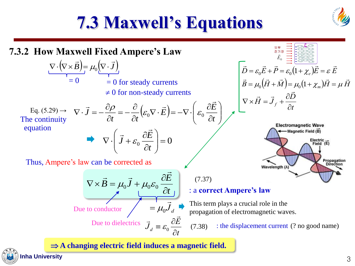

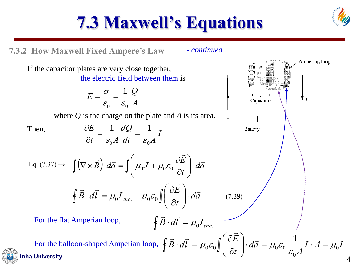

Amperian loop

 $\top$ 

Capacitor

**Battery** 

## **7.3 Maxwell's Equations**

**7.3.2 How Maxwell Fixed Ampere's Law**

- *continued* 

If the capacitor plates are very close together, the electric field between them is

$$
E = \frac{\sigma}{\varepsilon_0} = \frac{1}{\varepsilon_0} \frac{Q}{A}
$$

where *Q* is the charge on the plate and *A* is its area.

Then,

$$
\frac{\partial E}{\partial t} = \frac{1}{\varepsilon_0 A} \frac{dQ}{dt} = \frac{1}{\varepsilon_0 A} I
$$

Eq. (7.37) 
$$
\rightarrow \int (\nabla \times \vec{B}) \cdot d\vec{a} = \int \left( \mu_0 \vec{J} + \mu_0 \varepsilon_0 \frac{\partial \vec{E}}{\partial t} \right) \cdot d\vec{a}
$$

$$
\oint \vec{B} \cdot d\vec{l} = \mu_0 I_{enc.} + \mu_0 \varepsilon_0 \int \left( \frac{\partial E}{\partial t} \right) \cdot d\vec{a} \tag{7.39}
$$

For the flat Amperian loop,

 $\oint \vec{B} \cdot d\vec{l} = \mu_0 I_{enc.}$ 

**Inha University**  $\left(\begin{array}{c} 0 & 0 \end{array}\right)$  4 For the balloon-shaped Amperian loop,  $\oint \vec{B} \cdot d\vec{l} = \mu_0 \varepsilon_0 \left[ \left| \frac{\partial E}{\partial \rho} \right| \cdot d\vec{a} = \mu_0 \varepsilon_0 \frac{1}{\rho} I \cdot A = \mu_0 I$ *A da t E*  $\vec{B} \cdot d\vec{l} = \mu_0 \varepsilon_0 \left| \frac{\partial L}{\partial t} \right| \cdot d\vec{a} = \mu_0 \varepsilon_0 \frac{1}{\varepsilon_0} I \cdot A = \mu_0$ 0  $\left\lceil \frac{1}{\alpha} \right\rceil$   $\left\lceil \frac{1}{\alpha} \right\rceil$   $\left\lceil \frac{1}{\alpha} \right\rceil$   $\left\lceil \frac{1}{\alpha} \right\rceil$ 1  $\mu_{\scriptscriptstyle (}$  $\mu_0 \varepsilon_0 \int \left| \frac{\partial E}{\partial t} \right| \cdot d\vec{a} = \mu_0 \varepsilon_0 \frac{1}{\varepsilon_0 A} I \cdot A =$  $\int$  $\backslash$  $\overline{\phantom{a}}$  $\overline{\phantom{a}}$  $\setminus$  $\bigg($  $\partial$  $\partial$  $\oint \vec{B} \cdot d\vec{l} = \mu_0 \varepsilon_0 \int$  $\rightarrow$  $\rightarrow$  $\overrightarrow{a}$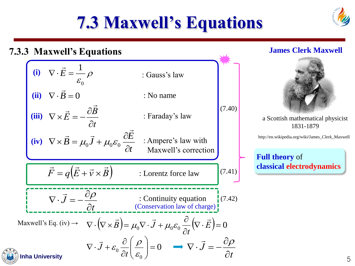

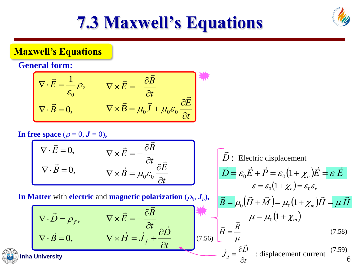

#### **Maxwell's Equations**

#### **General form:**

$$
\nabla \cdot \vec{E} = \frac{1}{\varepsilon_0} \rho, \qquad \nabla \times \vec{E} = -\frac{\partial \vec{B}}{\partial t}
$$
  

$$
\nabla \cdot \vec{B} = 0, \qquad \nabla \times \vec{B} = \mu_0 \vec{J} + \mu_0 \varepsilon_0 \frac{\partial \vec{E}}{\partial t}
$$

#### In free space  $(\rho = 0, J = 0)$ ,

$$
\nabla \cdot \vec{E} = 0, \qquad \nabla \times \vec{E} = -\frac{\partial \vec{B}}{\partial t}
$$

$$
\nabla \cdot \vec{B} = 0, \qquad \nabla \times \vec{B} = \mu_0 \varepsilon_0 \frac{\partial \vec{E}}{\partial t}
$$

In Matter with **electric** and **magnetic polarization**  $(\rho_b, J_b)$ ,

*t B E*  $\widehat{O}$  $\widehat{O}$  $\nabla\!\times\!E=-$ → →  $\nabla \cdot \vec{B} = 0$ ,  $\rightarrow$ *t D*  $H = J_f + \frac{J_f}{\partial}$  $\widehat{O}$  $\nabla\!\times\! H\!=\!J$  ,  $+$ →  $\rightarrow$   $\rightarrow$  $\nabla \cdot \vec{D} = \rho_f$ ,  $\rightarrow$ ᆖ *H*  $\rightarrow$  $=$ ≡ → (7.56)

$$
\nabla \cdot \vec{E} = 0, \qquad \nabla \times \vec{E} = -\frac{\partial B}{\partial t}
$$
\n
$$
\nabla \cdot \vec{B} = 0, \qquad \nabla \times \vec{B} = \mu_0 \varepsilon_0 \frac{\partial \vec{E}}{\partial t}
$$
\n
$$
\vec{D} = \varepsilon_0 \vec{E} + \vec{P} = \varepsilon_0 (1 + \chi_e) \vec{E} = \varepsilon \vec{E}
$$
\n
$$
\varepsilon = \varepsilon_0 (1 + \chi_e) = \varepsilon_0 \varepsilon_r
$$
\nIn Matter with electric and magnetic polarization  $(\rho_b, J_b)$ ,\n
$$
\vec{B} = \mu_0 (\vec{H} + \vec{M}) = \mu_0 (1 + \chi_m) \vec{H} = \mu \vec{H}
$$
\n
$$
\nabla \cdot \vec{B} = 0, \qquad \nabla \times \vec{H} = \vec{J}_f + \frac{\partial \vec{D}}{\partial t}
$$
\n
$$
\vec{J}_d = \frac{\partial \vec{D}}{\partial t} \qquad (7.58)
$$
\nInha University\n
$$
\vec{J}_d = \frac{\partial \vec{D}}{\partial t} \qquad (7.59)
$$
\n
$$
\vec{J}_d = \frac{\partial \vec{D}}{\partial t} \qquad (7.59)
$$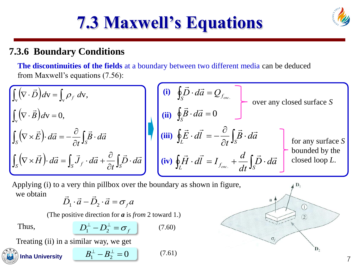

#### **7.3.6 Boundary Conditions**

**The discontinuities of the fields** at a boundary between two different media can be deduced from Maxwell's equations (7.56):

$$
\int_{v} (\nabla \cdot \vec{B}) dv = \int_{v} \rho_{f} dv,
$$
\n
$$
\int_{S} (\nabla \times \vec{E}) \cdot d\vec{a} = -\frac{\partial}{\partial t} \int_{S} \vec{B} \cdot d\vec{a}
$$
\n
$$
\int_{S} (\nabla \times \vec{H}) \cdot d\vec{a} = \int_{S} \vec{J}_{f} \cdot d\vec{a} + \frac{\partial}{\partial t} \int_{S} \vec{D} \cdot d\vec{a}
$$
\n
$$
\begin{pmatrix}\n\textbf{(i)} & \oint_{S} \vec{D} \cdot d\vec{a} = Q_{f_{\text{enc.}}}\n\end{pmatrix}
$$
\n
$$
\textbf{(ii)} & \oint_{S} \vec{E} \cdot d\vec{a} = 0
$$
\n
$$
\textbf{(iii)} & \oint_{L} \vec{E} \cdot d\vec{l} = -\frac{\partial}{\partial t} \int_{S} \vec{B} \cdot d\vec{a}
$$
\n
$$
\text{for any surface } S \text{ bounded by the bounded by the bounded by the bounded by the closed loop } L.
$$

→ → Applying (i) to a very thin pillbox over the boundary as shown in figure, we obtain

$$
\vec{D}_1 \cdot \vec{a} - \vec{D}_2 \cdot \vec{a} = \sigma_f a
$$

(The positive direction for *a* is *from* 2 toward 1.)

Thus, 
$$
D_1^{\perp} - D_2^{\perp} = \sigma_f \qquad (7.60)
$$

Treating (ii) in a similar way, we get



Inha University

\n
$$
B_1^{\perp} - B_2^{\perp} = 0
$$
\n(7.61)

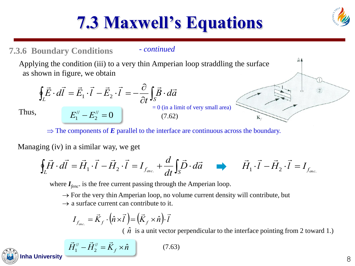#### **7.3.6 Boundary Conditions**

#### - *continued*

Applying the condition (iii) to a very thin Amperian loop straddling the surface as shown in figure, we obtain

$$
\oint_L \vec{E} \cdot d\vec{l} = \vec{E}_1 \cdot \vec{l} - \vec{E}_2 \cdot \vec{l} = -\frac{\partial}{\partial t} \int_S \vec{B} \cdot d\vec{a}
$$
\nThus,  
\n
$$
E_1'' - E_2'' = 0
$$
\n
$$
\begin{bmatrix}\n\vec{E} \cdot d\vec{l} & \vec{E} \\
\vec{E} \cdot d\vec{l}\n\end{bmatrix} = 0 \text{ (in a limit of very small area)}
$$
\n(7.62)

 $\Rightarrow$  The components of *E* parallel to the interface are continuous across the boundary.

Managing (iv) in a similar way, we get

$$
\oint_L \vec{H} \cdot d\vec{l} = \vec{H}_1 \cdot \vec{l} - \vec{H}_2 \cdot \vec{l} = I_{f_{enc.}} + \frac{d}{dt} \int_S \vec{D} \cdot d\vec{a} \qquad \vec{H}_1 \cdot \vec{l} - \vec{H}_2 \cdot \vec{l} = I_{f_{enc.}}
$$

where *Ifenc*. is the free current passing through the Amperian loop.

 $\rightarrow$  For the very thin Amperian loop, no volume current density will contribute, but

 $\rightarrow$  a surface current can contribute to it.

$$
I_{f_{\text{enc.}}} = \vec{K}_f \cdot (\hat{n} \times \vec{l}) = (\vec{K}_f \times \hat{n}) \cdot \vec{l}
$$

 $\hat{n}$  is a unit vector perpendicular to the interface pointing from 2 toward 1.)

**Inha University** 
$$
\vec{H}_1^{\prime\prime} - \vec{H}_2^{\prime\prime} = \vec{K}_f \times \hat{n}
$$
 (7.63)



 $\hat{n}$   $\triangle$ 

Κ.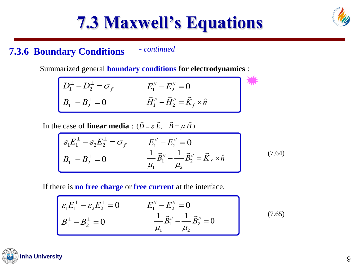### **7.3.6 Boundary Conditions** - *continued*

Summarized general **boundary conditions for electrodynamics** :

$$
\begin{bmatrix}\nD_1^{\perp} - D_2^{\perp} = \sigma_f & E_1'' - E_2'' = 0 \\
B_1^{\perp} - B_2^{\perp} = 0 & \vec{H}_1'' - \vec{H}_2'' = \vec{K}_f \times \hat{n}\n\end{bmatrix}
$$

In the case of **linear media**:  $(\vec{D} = \varepsilon \vec{E}, \vec{B} = \mu \vec{H})$ 

$$
\varepsilon_1 E_1^{\perp} - \varepsilon_2 E_2^{\perp} = \sigma_f \qquad E_1'' - E_2'' = 0
$$
\n
$$
B_1^{\perp} - B_2^{\perp} = 0 \qquad \qquad \frac{1}{\mu_1} \vec{B}_1'' - \frac{1}{\mu_2} \vec{B}_2'' = \vec{K}_f \times \hat{n} \qquad (7.64)
$$

If there is **no free charge** or **free current** at the interface,

$$
\mathcal{E}_1 E_1^{\perp} - \mathcal{E}_2 E_2^{\perp} = 0 \qquad \qquad E_1'' - E_2'' = 0
$$
\n
$$
B_1^{\perp} - B_2^{\perp} = 0 \qquad \qquad \frac{1}{\mu_1} \vec{B}_1'' - \frac{1}{\mu_2} \vec{B}_2'' = 0 \qquad (7.65)
$$